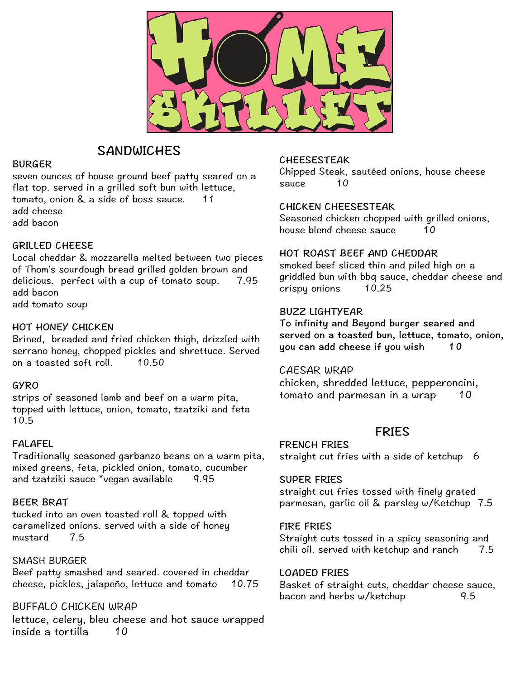

## SANDWICHES

#### BURGER

seven ounces of house ground beef patty seared on a flat top. served in a grilled soft bun with lettuce, tomato, onion & a side of boss sauce. 11 add cheese add bacon

### GRILLED CHEESE

Local cheddar & mozzarella melted between two pieces of Thom's sourdough bread grilled golden brown and delicious. perfect with a cup of tomato soup. 7.95 add bacon add tomato soup

### HOT HONEY CHICKEN

Brined, breaded and fried chicken thigh, drizzled with serrano honey, chopped pickles and shrettuce. Served on a toasted soft roll. 10.50

### GYRO

strips of seasoned lamb and beef on a warm pita, topped with lettuce, onion, tomato, tzatziki and feta 10.5

## FALAFEL

Traditionally seasoned garbanzo beans on a warm pita, mixed greens, feta, pickled onion, tomato, cucumber and tzatziki sauce \*vegan available 9.95

### BEER BRAT

tucked into an oven toasted roll & topped with caramelized onions. served with a side of honey mustard 7.5

### SMASH BURGER

Beef patty smashed and seared. covered in cheddar cheese, pickles, jalapeño, lettuce and tomato 10.75

BUFFALO CHICKEN WRAP

lettuce, celery, bleu cheese and hot sauce wrapped inside a tortilla 10

CHEESESTEAK Chipped Steak, sautéed onions, house cheese sauce 10

### CHICKEN CHEESESTEAK

Seasoned chicken chopped with grilled onions, house blend cheese sauce 10

### HOT ROAST BEEF AND CHEDDAR

smoked beef sliced thin and piled high on a griddled bun with bbq sauce, cheddar cheese and crispy onions 10.25

### BUZZ LIGHTYEAR

To infinity and Beyond burger seared and served on a toasted bun, lettuce, tomato, onion, you can add cheese if you wish 10

CAESAR WRAP chicken, shredded lettuce, pepperoncini, tomato and parmesan in a wrap 10

## FRIES

FRENCH FRIES straight cut fries with a side of ketchup 6

### SUPER FRIES

straight cut fries tossed with finely grated parmesan, garlic oil & parsley w/Ketchup 7.5

#### FIRE FRIES

Straight cuts tossed in a spicy seasoning and chili oil. served with ketchup and ranch 7.5

#### LOADED FRIES

Basket of straight cuts, cheddar cheese sauce, bacon and herbs w/ketchup 9.5